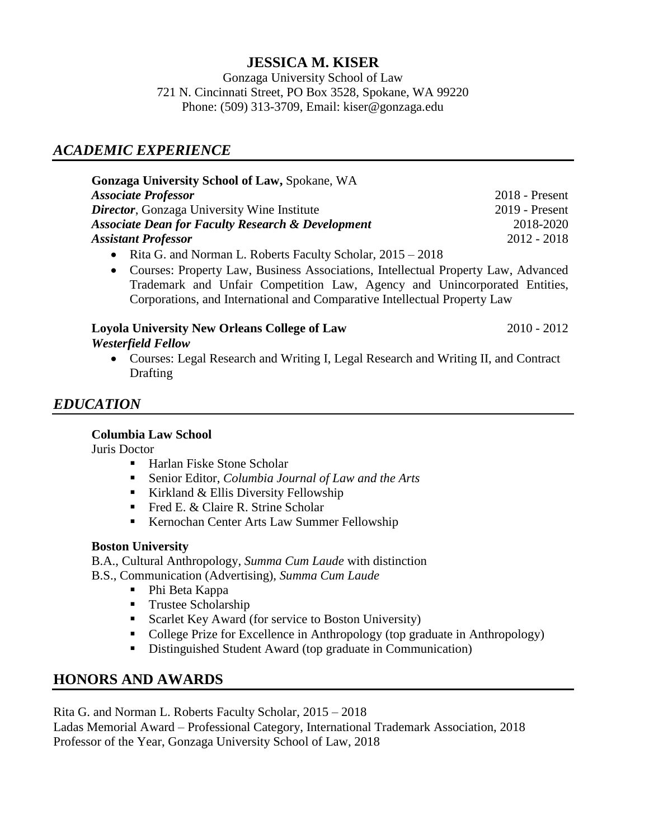## **JESSICA M. KISER**

Gonzaga University School of Law 721 N. Cincinnati Street, PO Box 3528, Spokane, WA 99220 Phone: (509) 313-3709, Email: kiser@gonzaga.edu

# *ACADEMIC EXPERIENCE*

| <b>Gonzaga University School of Law, Spokane, WA</b>                                     |                  |
|------------------------------------------------------------------------------------------|------------------|
| <b>Associate Professor</b>                                                               | $2018$ - Present |
| <b>Director</b> , Gonzaga University Wine Institute                                      | $2019$ - Present |
| <b>Associate Dean for Faculty Research &amp; Development</b>                             | 2018-2020        |
| <b>Assistant Professor</b>                                                               | $2012 - 2018$    |
| $\mathbf{D}^* \cup \mathbf{C}$ in international model and $\mathbf{D}^* \cup \mathbf{C}$ |                  |

- Rita G. and Norman L. Roberts Faculty Scholar, 2015 2018
- Courses: Property Law, Business Associations, Intellectual Property Law, Advanced Trademark and Unfair Competition Law, Agency and Unincorporated Entities, Corporations, and International and Comparative Intellectual Property Law

#### **Loyola University New Orleans College of Law** 2010 - 2012 *Westerfield Fellow*

 Courses: Legal Research and Writing I, Legal Research and Writing II, and Contract **Drafting** 

# *EDUCATION*

#### **Columbia Law School**

Juris Doctor

- Harlan Fiske Stone Scholar
- Senior Editor, *Columbia Journal of Law and the Arts*
- Kirkland  $&$  Ellis Diversity Fellowship
- Fred E. & Claire R. Strine Scholar
- Kernochan Center Arts Law Summer Fellowship

#### **Boston University**

B.A., Cultural Anthropology, *Summa Cum Laude* with distinction

B.S., Communication (Advertising), *Summa Cum Laude*

- Phi Beta Kappa
- **Trustee Scholarship**
- Scarlet Key Award (for service to Boston University)
- College Prize for Excellence in Anthropology (top graduate in Anthropology)
- Distinguished Student Award (top graduate in Communication)

## **HONORS AND AWARDS**

Rita G. and Norman L. Roberts Faculty Scholar, 2015 – 2018 Ladas Memorial Award – Professional Category, International Trademark Association, 2018 Professor of the Year, Gonzaga University School of Law, 2018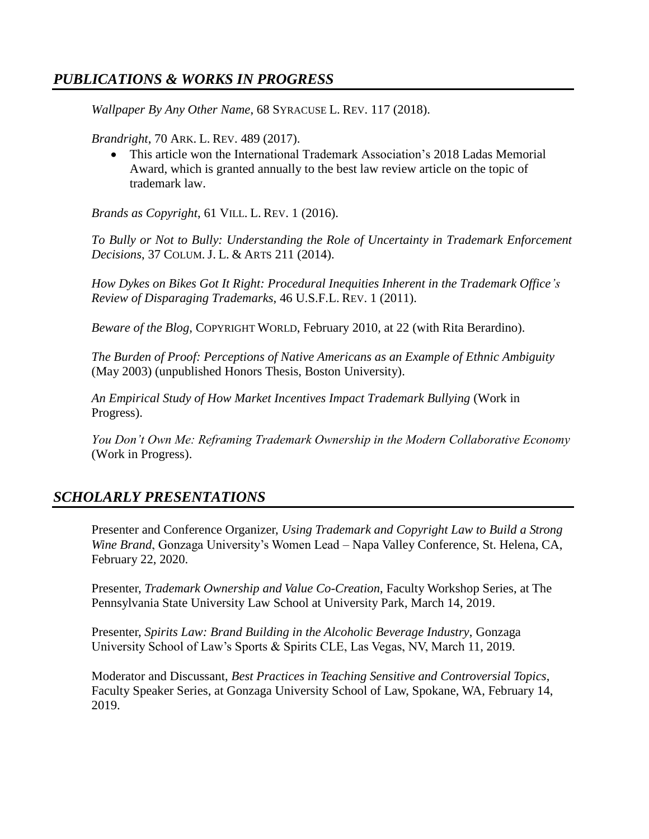## *PUBLICATIONS & WORKS IN PROGRESS*

*Wallpaper By Any Other Name*, 68 SYRACUSE L. REV. 117 (2018).

*Brandright*, 70 ARK. L. REV. 489 (2017).

 This article won the International Trademark Association's 2018 Ladas Memorial Award, which is granted annually to the best law review article on the topic of trademark law.

*Brands as Copyright*, 61 VILL. L. REV. 1 (2016).

*To Bully or Not to Bully: Understanding the Role of Uncertainty in Trademark Enforcement Decisions*, 37 COLUM. J. L. & ARTS 211 (2014).

*How Dykes on Bikes Got It Right: Procedural Inequities Inherent in the Trademark Office's Review of Disparaging Trademarks*, 46 U.S.F.L. REV. 1 (2011).

*Beware of the Blog,* COPYRIGHT WORLD, February 2010, at 22 (with Rita Berardino).

*The Burden of Proof: Perceptions of Native Americans as an Example of Ethnic Ambiguity* (May 2003) (unpublished Honors Thesis, Boston University).

*An Empirical Study of How Market Incentives Impact Trademark Bullying* (Work in Progress).

*You Don't Own Me: Reframing Trademark Ownership in the Modern Collaborative Economy* (Work in Progress).

## *SCHOLARLY PRESENTATIONS*

Presenter and Conference Organizer, *Using Trademark and Copyright Law to Build a Strong Wine Brand*, Gonzaga University's Women Lead – Napa Valley Conference, St. Helena, CA, February 22, 2020.

Presenter, *Trademark Ownership and Value Co-Creation*, Faculty Workshop Series, at The Pennsylvania State University Law School at University Park, March 14, 2019.

Presenter, *Spirits Law: Brand Building in the Alcoholic Beverage Industry*, Gonzaga University School of Law's Sports & Spirits CLE, Las Vegas, NV, March 11, 2019.

Moderator and Discussant, *Best Practices in Teaching Sensitive and Controversial Topics*, Faculty Speaker Series, at Gonzaga University School of Law, Spokane, WA, February 14, 2019.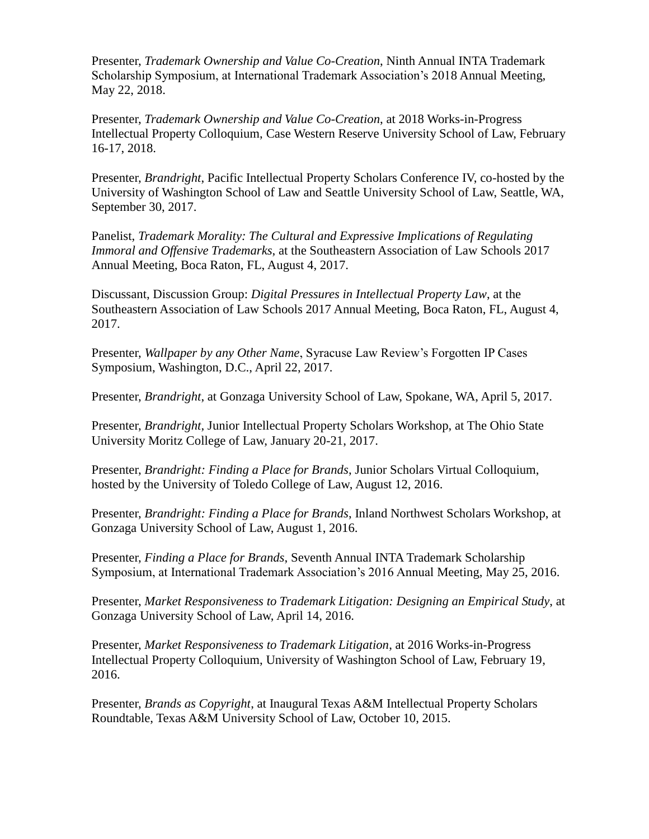Presenter, *Trademark Ownership and Value Co-Creation*, Ninth Annual INTA Trademark Scholarship Symposium, at International Trademark Association's 2018 Annual Meeting, May 22, 2018.

Presenter, *Trademark Ownership and Value Co-Creation*, at 2018 Works-in-Progress Intellectual Property Colloquium, Case Western Reserve University School of Law, February 16-17, 2018.

Presenter, *Brandright*, Pacific Intellectual Property Scholars Conference IV, co-hosted by the University of Washington School of Law and Seattle University School of Law, Seattle, WA, September 30, 2017.

Panelist, *Trademark Morality: The Cultural and Expressive Implications of Regulating Immoral and Offensive Trademarks*, at the Southeastern Association of Law Schools 2017 Annual Meeting, Boca Raton, FL, August 4, 2017.

Discussant, Discussion Group: *Digital Pressures in Intellectual Property Law*, at the Southeastern Association of Law Schools 2017 Annual Meeting, Boca Raton, FL, August 4, 2017.

Presenter, *Wallpaper by any Other Name*, Syracuse Law Review's Forgotten IP Cases Symposium, Washington, D.C., April 22, 2017.

Presenter, *Brandright*, at Gonzaga University School of Law, Spokane, WA, April 5, 2017.

Presenter, *Brandright*, Junior Intellectual Property Scholars Workshop, at The Ohio State University Moritz College of Law, January 20-21, 2017.

Presenter, *Brandright: Finding a Place for Brands*, Junior Scholars Virtual Colloquium, hosted by the University of Toledo College of Law, August 12, 2016.

Presenter, *Brandright: Finding a Place for Brands*, Inland Northwest Scholars Workshop, at Gonzaga University School of Law, August 1, 2016.

Presenter, *Finding a Place for Brands*, Seventh Annual INTA Trademark Scholarship Symposium, at International Trademark Association's 2016 Annual Meeting, May 25, 2016.

Presenter, *Market Responsiveness to Trademark Litigation: Designing an Empirical Study*, at Gonzaga University School of Law, April 14, 2016.

Presenter, *Market Responsiveness to Trademark Litigation*, at 2016 Works-in-Progress Intellectual Property Colloquium, University of Washington School of Law, February 19, 2016.

Presenter, *Brands as Copyright*, at Inaugural Texas A&M Intellectual Property Scholars Roundtable, Texas A&M University School of Law, October 10, 2015.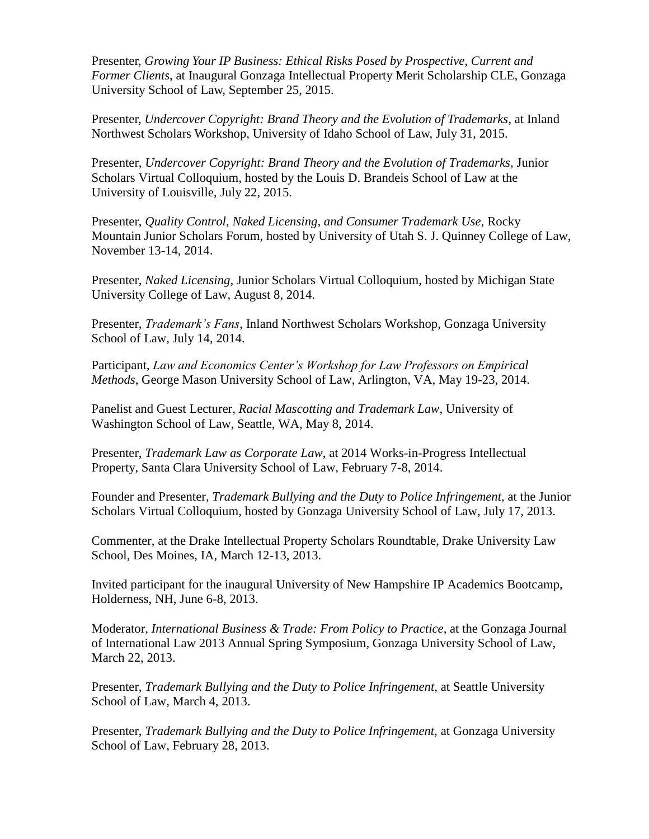Presenter, *Growing Your IP Business: Ethical Risks Posed by Prospective, Current and Former Clients*, at Inaugural Gonzaga Intellectual Property Merit Scholarship CLE, Gonzaga University School of Law, September 25, 2015.

Presenter, *Undercover Copyright: Brand Theory and the Evolution of Trademarks*, at Inland Northwest Scholars Workshop, University of Idaho School of Law, July 31, 2015.

Presenter, *Undercover Copyright: Brand Theory and the Evolution of Trademarks,* Junior Scholars Virtual Colloquium, hosted by the Louis D. Brandeis School of Law at the University of Louisville, July 22, 2015.

Presenter, *Quality Control, Naked Licensing, and Consumer Trademark Use,* Rocky Mountain Junior Scholars Forum, hosted by University of Utah S. J. Quinney College of Law, November 13-14, 2014.

Presenter, *Naked Licensing,* Junior Scholars Virtual Colloquium, hosted by Michigan State University College of Law, August 8, 2014.

Presenter, *Trademark's Fans*, Inland Northwest Scholars Workshop, Gonzaga University School of Law, July 14, 2014.

Participant, *Law and Economics Center's Workshop for Law Professors on Empirical Methods*, George Mason University School of Law, Arlington, VA, May 19-23, 2014.

Panelist and Guest Lecturer, *Racial Mascotting and Trademark Law*, University of Washington School of Law, Seattle, WA, May 8, 2014.

Presenter, *Trademark Law as Corporate Law*, at 2014 Works-in-Progress Intellectual Property, Santa Clara University School of Law, February 7-8, 2014.

Founder and Presenter, *Trademark Bullying and the Duty to Police Infringement,* at the Junior Scholars Virtual Colloquium, hosted by Gonzaga University School of Law, July 17, 2013.

Commenter, at the Drake Intellectual Property Scholars Roundtable, Drake University Law School, Des Moines, IA, March 12-13, 2013.

Invited participant for the inaugural University of New Hampshire IP Academics Bootcamp, Holderness, NH, June 6-8, 2013.

Moderator, *International Business & Trade: From Policy to Practice*, at the Gonzaga Journal of International Law 2013 Annual Spring Symposium, Gonzaga University School of Law, March 22, 2013.

Presenter, *Trademark Bullying and the Duty to Police Infringement,* at Seattle University School of Law, March 4, 2013.

Presenter, *Trademark Bullying and the Duty to Police Infringement,* at Gonzaga University School of Law, February 28, 2013.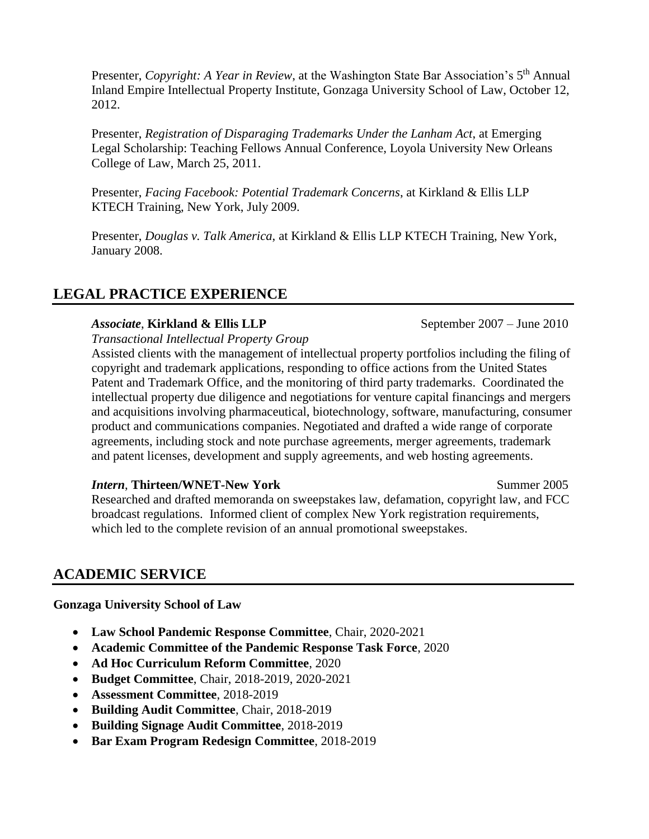Presenter, *Copyright: A Year in Review*, at the Washington State Bar Association's 5<sup>th</sup> Annual Inland Empire Intellectual Property Institute, Gonzaga University School of Law, October 12, 2012.

Presenter, *Registration of Disparaging Trademarks Under the Lanham Act*, at Emerging Legal Scholarship: Teaching Fellows Annual Conference, Loyola University New Orleans College of Law, March 25, 2011.

Presenter, *Facing Facebook: Potential Trademark Concerns*, at Kirkland & Ellis LLP KTECH Training, New York, July 2009.

Presenter, *Douglas v. Talk America*, at Kirkland & Ellis LLP KTECH Training, New York, January 2008.

# **LEGAL PRACTICE EXPERIENCE**

#### *Associate*, **Kirkland & Ellis LLP** September 2007 – June 2010

*Transactional Intellectual Property Group*

Assisted clients with the management of intellectual property portfolios including the filing of copyright and trademark applications, responding to office actions from the United States Patent and Trademark Office, and the monitoring of third party trademarks. Coordinated the intellectual property due diligence and negotiations for venture capital financings and mergers and acquisitions involving pharmaceutical, biotechnology, software, manufacturing, consumer product and communications companies. Negotiated and drafted a wide range of corporate agreements, including stock and note purchase agreements, merger agreements, trademark and patent licenses, development and supply agreements, and web hosting agreements.

#### *Intern*, Thirteen/WNET-New York Summer 2005

Researched and drafted memoranda on sweepstakes law, defamation, copyright law, and FCC broadcast regulations. Informed client of complex New York registration requirements, which led to the complete revision of an annual promotional sweepstakes.

## **ACADEMIC SERVICE**

#### **Gonzaga University School of Law**

- **Law School Pandemic Response Committee**, Chair, 2020-2021
- **Academic Committee of the Pandemic Response Task Force**, 2020
- **Ad Hoc Curriculum Reform Committee**, 2020
- **Budget Committee**, Chair, 2018-2019, 2020-2021
- **Assessment Committee**, 2018-2019
- **Building Audit Committee**, Chair, 2018-2019
- **Building Signage Audit Committee**, 2018-2019
- **Bar Exam Program Redesign Committee**, 2018-2019